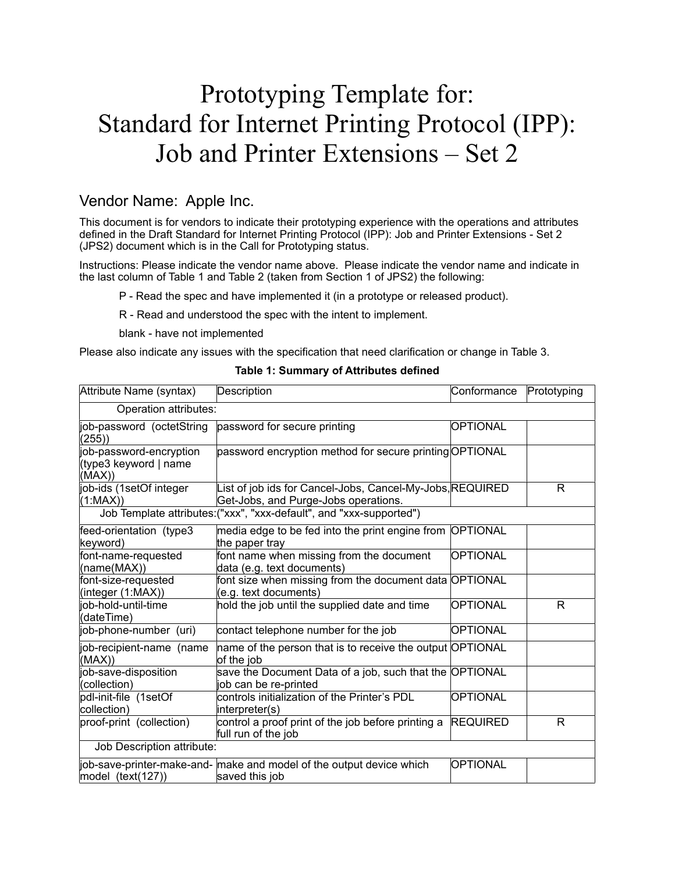# Prototyping Template for: Standard for Internet Printing Protocol (IPP): Job and Printer Extensions – Set 2

## Vendor Name: Apple Inc.

This document is for vendors to indicate their prototyping experience with the operations and attributes defined in the Draft Standard for Internet Printing Protocol (IPP): Job and Printer Extensions - Set 2 (JPS2) document which is in the Call for Prototyping status.

Instructions: Please indicate the vendor name above. Please indicate the vendor name and indicate in the last column of Table 1 and Table 2 (taken from Section 1 of JPS2) the following:

P - Read the spec and have implemented it (in a prototype or released product).

R - Read and understood the spec with the intent to implement.

blank - have not implemented

Please also indicate any issues with the specification that need clarification or change in [Table 3.](#page-1-0)

| Attribute Name (syntax)                                    | Description                                                                                       | Conformance     | Prototyping |
|------------------------------------------------------------|---------------------------------------------------------------------------------------------------|-----------------|-------------|
| Operation attributes:                                      |                                                                                                   |                 |             |
| job-password (octetString<br>(255)                         | password for secure printing                                                                      | <b>OPTIONAL</b> |             |
| job-password-encryption<br>(type3 keyword   name<br>(MAX)) | password encryption method for secure printing OPTIONAL                                           |                 |             |
| job-ids (1setOf integer<br>(1:MAX)                         | List of job ids for Cancel-Jobs, Cancel-My-Jobs, REQUIRED<br>Get-Jobs, and Purge-Jobs operations. |                 | R           |
|                                                            | Job Template attributes: ("xxx", "xxx-default", and "xxx-supported")                              |                 |             |
| feed-orientation (type3<br>keyword)                        | media edge to be fed into the print engine from OPTIONAL<br>the paper tray                        |                 |             |
| font-name-requested<br>(name(MAX))                         | font name when missing from the document<br>data (e.g. text documents)                            | <b>OPTIONAL</b> |             |
| font-size-requested<br>(integer (1:MAX))                   | font size when missing from the document data OPTIONAL<br>(e.g. text documents)                   |                 |             |
| job-hold-until-time<br>(dateTime)                          | hold the job until the supplied date and time                                                     | OPTIONAL        | R           |
| job-phone-number (uri)                                     | contact telephone number for the job                                                              | <b>OPTIONAL</b> |             |
| job-recipient-name (name<br>(MAX))                         | name of the person that is to receive the output OPTIONAL<br>of the job                           |                 |             |
| job-save-disposition<br>(collection)                       | save the Document Data of a job, such that the OPTIONAL<br>job can be re-printed                  |                 |             |
| pdl-init-file (1setOf<br>collection)                       | controls initialization of the Printer's PDL<br>interpreter(s)                                    | OPTIONAL        |             |
| proof-print (collection)                                   | control a proof print of the job before printing a<br>full run of the job                         | <b>REQUIRED</b> | R           |
| Job Description attribute:                                 |                                                                                                   |                 |             |
| model (text(127))                                          | job-save-printer-make-and- make and model of the output device which<br>saved this job            | OPTIONAL        |             |

#### **Table 1: Summary of Attributes defined**